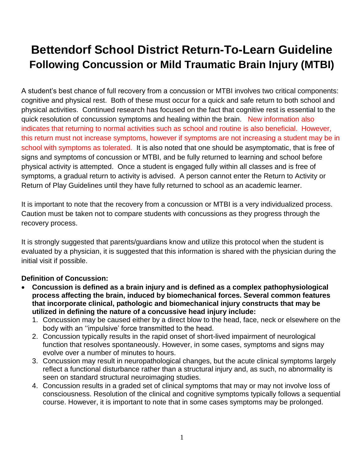# **Bettendorf School District Return-To-Learn Guideline Following Concussion or Mild Traumatic Brain Injury (MTBI)**

A student's best chance of full recovery from a concussion or MTBI involves two critical components: cognitive and physical rest. Both of these must occur for a quick and safe return to both school and physical activities. Continued research has focused on the fact that cognitive rest is essential to the quick resolution of concussion symptoms and healing within the brain. New information also indicates that returning to normal activities such as school and routine is also beneficial. However, this return must not increase symptoms, however if symptoms are not increasing a student may be in school with symptoms as tolerated. It is also noted that one should be asymptomatic, that is free of signs and symptoms of concussion or MTBI, and be fully returned to learning and school before physical activity is attempted. Once a student is engaged fully within all classes and is free of symptoms, a gradual return to activity is advised. A person cannot enter the Return to Activity or Return of Play Guidelines until they have fully returned to school as an academic learner.

It is important to note that the recovery from a concussion or MTBI is a very individualized process. Caution must be taken not to compare students with concussions as they progress through the recovery process.

It is strongly suggested that parents/guardians know and utilize this protocol when the student is evaluated by a physician, it is suggested that this information is shared with the physician during the initial visit if possible.

# **Definition of Concussion:**

- **Concussion is defined as a brain injury and is defined as a complex pathophysiological process affecting the brain, induced by biomechanical forces. Several common features that incorporate clinical, pathologic and biomechanical injury constructs that may be utilized in defining the nature of a concussive head injury include:**
	- 1. Concussion may be caused either by a direct blow to the head, face, neck or elsewhere on the body with an ''impulsive' force transmitted to the head.
	- 2. Concussion typically results in the rapid onset of short-lived impairment of neurological function that resolves spontaneously. However, in some cases, symptoms and signs may evolve over a number of minutes to hours.
	- 3. Concussion may result in neuropathological changes, but the acute clinical symptoms largely reflect a functional disturbance rather than a structural injury and, as such, no abnormality is seen on standard structural neuroimaging studies.
	- 4. Concussion results in a graded set of clinical symptoms that may or may not involve loss of consciousness. Resolution of the clinical and cognitive symptoms typically follows a sequential course. However, it is important to note that in some cases symptoms may be prolonged.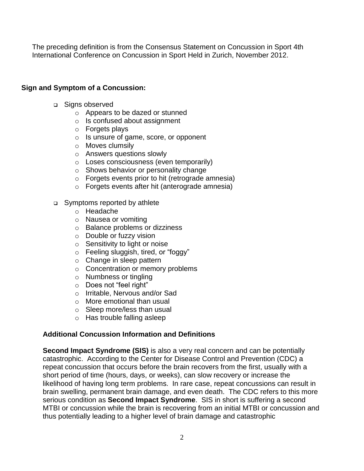The preceding definition is from the Consensus Statement on Concussion in Sport 4th International Conference on Concussion in Sport Held in Zurich, November 2012.

### **Sign and Symptom of a Concussion:**

- □ Signs observed
	- o Appears to be dazed or stunned
	- o Is confused about assignment
	- o Forgets plays
	- o Is unsure of game, score, or opponent
	- o Moves clumsily
	- o Answers questions slowly
	- o Loses consciousness (even temporarily)
	- o Shows behavior or personality change
	- o Forgets events prior to hit (retrograde amnesia)
	- o Forgets events after hit (anterograde amnesia)
- □ Symptoms reported by athlete
	- o Headache
	- o Nausea or vomiting
	- o Balance problems or dizziness
	- o Double or fuzzy vision
	- o Sensitivity to light or noise
	- o Feeling sluggish, tired, or "foggy"
	- o Change in sleep pattern
	- o Concentration or memory problems
	- o Numbness or tingling
	- o Does not "feel right"
	- o Irritable, Nervous and/or Sad
	- o More emotional than usual
	- o Sleep more/less than usual
	- o Has trouble falling asleep

#### **Additional Concussion Information and Definitions**

**Second Impact Syndrome (SIS)** is also a very real concern and can be potentially catastrophic. According to the Center for Disease Control and Prevention (CDC) a repeat concussion that occurs before the brain recovers from the first, usually with a short period of time (hours, days, or weeks), can slow recovery or increase the likelihood of having long term problems. In rare case, repeat concussions can result in brain swelling, permanent brain damage, and even death. The CDC refers to this more serious condition as **Second Impact Syndrome**. SIS in short is suffering a second MTBI or concussion while the brain is recovering from an initial MTBI or concussion and thus potentially leading to a higher level of brain damage and catastrophic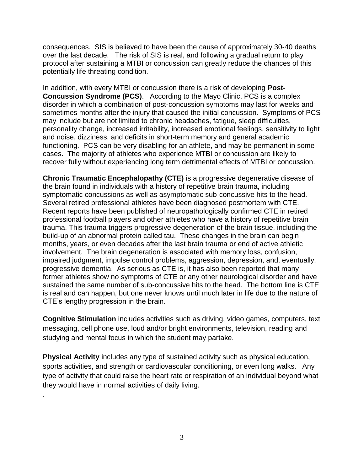consequences. SIS is believed to have been the cause of approximately 30-40 deaths over the last decade. The risk of SIS is real, and following a gradual return to play protocol after sustaining a MTBI or concussion can greatly reduce the chances of this potentially life threating condition.

In addition, with every MTBI or concussion there is a risk of developing **Post-Concussion Syndrome (PCS)**. According to the Mayo Clinic, PCS is a complex disorder in which a combination of post-concussion symptoms may last for weeks and sometimes months after the injury that caused the initial concussion. Symptoms of PCS may include but are not limited to chronic headaches, fatigue, sleep difficulties, personality change, increased irritability, increased emotional feelings, sensitivity to light and noise, dizziness, and deficits in short-term memory and general academic functioning. PCS can be very disabling for an athlete, and may be permanent in some cases. The majority of athletes who experience MTBI or concussion are likely to recover fully without experiencing long term detrimental effects of MTBI or concussion.

**Chronic Traumatic Encephalopathy (CTE)** is a progressive degenerative disease of the brain found in individuals with a history of repetitive brain trauma, including symptomatic concussions as well as asymptomatic sub-concussive hits to the head. Several retired professional athletes have been diagnosed postmortem with CTE. Recent reports have been published of neuropathologically confirmed CTE in retired professional football players and other athletes who have a history of repetitive brain trauma. This trauma triggers progressive degeneration of the brain tissue, including the build-up of an abnormal protein called tau. These changes in the brain can begin months, years, or even decades after the last brain trauma or end of active athletic involvement. The brain degeneration is associated with memory loss, confusion, impaired judgment, impulse control problems, aggression, depression, and, eventually, progressive dementia. As serious as CTE is, it has also been reported that many former athletes show no symptoms of CTE or any other neurological disorder and have sustained the same number of sub-concussive hits to the head. The bottom line is CTE is real and can happen, but one never knows until much later in life due to the nature of CTE's lengthy progression in the brain.

**Cognitive Stimulation** includes activities such as driving, video games, computers, text messaging, cell phone use, loud and/or bright environments, television, reading and studying and mental focus in which the student may partake.

**Physical Activity** includes any type of sustained activity such as physical education, sports activities, and strength or cardiovascular conditioning, or even long walks. Any type of activity that could raise the heart rate or respiration of an individual beyond what they would have in normal activities of daily living.

.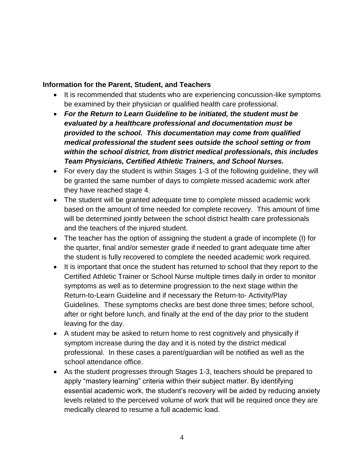#### **Information for the Parent, Student, and Teachers**

- It is recommended that students who are experiencing concussion-like symptoms be examined by their physician or qualified health care professional.
- *For the Return to Learn Guideline to be initiated, the student must be evaluated by a healthcare professional and documentation must be provided to the school. This documentation may come from qualified medical professional the student sees outside the school setting or from within the school district, from district medical professionals, this includes Team Physicians, Certified Athletic Trainers, and School Nurses.*
- For every day the student is within Stages 1-3 of the following guideline, they will be granted the same number of days to complete missed academic work after they have reached stage 4.
- The student will be granted adequate time to complete missed academic work based on the amount of time needed for complete recovery. This amount of time will be determined jointly between the school district health care professionals and the teachers of the injured student.
- The teacher has the option of assigning the student a grade of incomplete (I) for the quarter, final and/or semester grade if needed to grant adequate time after the student is fully recovered to complete the needed academic work required.
- It is important that once the student has returned to school that they report to the Certified Athletic Trainer or School Nurse multiple times daily in order to monitor symptoms as well as to determine progression to the next stage within the Return-to-Learn Guideline and if necessary the Return-to- Activity/Play Guidelines. These symptoms checks are best done three times; before school, after or right before lunch, and finally at the end of the day prior to the student leaving for the day.
- A student may be asked to return home to rest cognitively and physically if symptom increase during the day and it is noted by the district medical professional. In these cases a parent/guardian will be notified as well as the school attendance office.
- As the student progresses through Stages 1-3, teachers should be prepared to apply "mastery learning" criteria within their subject matter. By identifying essential academic work, the student's recovery will be aided by reducing anxiety levels related to the perceived volume of work that will be required once they are medically cleared to resume a full academic load.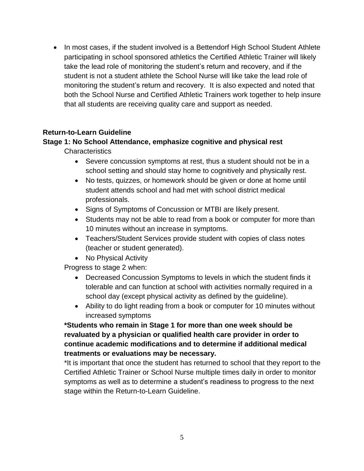• In most cases, if the student involved is a Bettendorf High School Student Athlete participating in school sponsored athletics the Certified Athletic Trainer will likely take the lead role of monitoring the student's return and recovery, and if the student is not a student athlete the School Nurse will like take the lead role of monitoring the student's return and recovery. It is also expected and noted that both the School Nurse and Certified Athletic Trainers work together to help insure that all students are receiving quality care and support as needed.

#### **Return-to-Learn Guideline**

#### **Stage 1: No School Attendance, emphasize cognitive and physical rest**

Characteristics

- Severe concussion symptoms at rest, thus a student should not be in a school setting and should stay home to cognitively and physically rest.
- No tests, quizzes, or homework should be given or done at home until student attends school and had met with school district medical professionals.
- Signs of Symptoms of Concussion or MTBI are likely present.
- Students may not be able to read from a book or computer for more than 10 minutes without an increase in symptoms.
- Teachers/Student Services provide student with copies of class notes (teacher or student generated).
- No Physical Activity

Progress to stage 2 when:

- Decreased Concussion Symptoms to levels in which the student finds it tolerable and can function at school with activities normally required in a school day (except physical activity as defined by the guideline).
- Ability to do light reading from a book or computer for 10 minutes without increased symptoms

# **\*Students who remain in Stage 1 for more than one week should be revaluated by a physician or qualified health care provider in order to continue academic modifications and to determine if additional medical treatments or evaluations may be necessary.**

\*It is important that once the student has returned to school that they report to the Certified Athletic Trainer or School Nurse multiple times daily in order to monitor symptoms as well as to determine a student's readiness to progress to the next stage within the Return-to-Learn Guideline.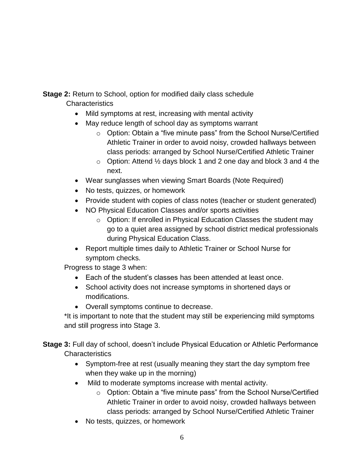**Stage 2:** Return to School, option for modified daily class schedule **Characteristics** 

- Mild symptoms at rest, increasing with mental activity
- May reduce length of school day as symptoms warrant
	- o Option: Obtain a "five minute pass" from the School Nurse/Certified Athletic Trainer in order to avoid noisy, crowded hallways between class periods: arranged by School Nurse/Certified Athletic Trainer
	- $\circ$  Option: Attend  $\frac{1}{2}$  days block 1 and 2 one day and block 3 and 4 the next.
- Wear sunglasses when viewing Smart Boards (Note Required)
- No tests, quizzes, or homework
- Provide student with copies of class notes (teacher or student generated)
- NO Physical Education Classes and/or sports activities
	- o Option: If enrolled in Physical Education Classes the student may go to a quiet area assigned by school district medical professionals during Physical Education Class.
- Report multiple times daily to Athletic Trainer or School Nurse for symptom checks.

Progress to stage 3 when:

- Each of the student's classes has been attended at least once.
- School activity does not increase symptoms in shortened days or modifications.
- Overall symptoms continue to decrease.

\*It is important to note that the student may still be experiencing mild symptoms and still progress into Stage 3.

**Stage 3:** Full day of school, doesn't include Physical Education or Athletic Performance **Characteristics** 

- Symptom-free at rest (usually meaning they start the day symptom free when they wake up in the morning)
- Mild to moderate symptoms increase with mental activity.
	- o Option: Obtain a "five minute pass" from the School Nurse/Certified Athletic Trainer in order to avoid noisy, crowded hallways between class periods: arranged by School Nurse/Certified Athletic Trainer
- No tests, quizzes, or homework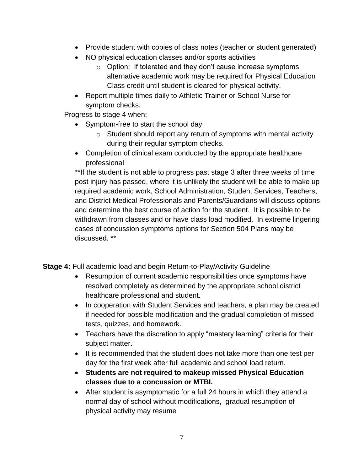- Provide student with copies of class notes (teacher or student generated)
- NO physical education classes and/or sports activities
	- $\circ$  Option: If tolerated and they don't cause increase symptoms alternative academic work may be required for Physical Education Class credit until student is cleared for physical activity.
- Report multiple times daily to Athletic Trainer or School Nurse for symptom checks.

Progress to stage 4 when:

- Symptom-free to start the school day
	- o Student should report any return of symptoms with mental activity during their regular symptom checks.
- Completion of clinical exam conducted by the appropriate healthcare professional

\*\*If the student is not able to progress past stage 3 after three weeks of time post injury has passed, where it is unlikely the student will be able to make up required academic work, School Administration, Student Services, Teachers, and District Medical Professionals and Parents/Guardians will discuss options and determine the best course of action for the student. It is possible to be withdrawn from classes and or have class load modified. In extreme lingering cases of concussion symptoms options for Section 504 Plans may be discussed. \*\*

**Stage 4:** Full academic load and begin Return-to-Play/Activity Guideline

- Resumption of current academic responsibilities once symptoms have resolved completely as determined by the appropriate school district healthcare professional and student.
- In cooperation with Student Services and teachers, a plan may be created if needed for possible modification and the gradual completion of missed tests, quizzes, and homework.
- Teachers have the discretion to apply "mastery learning" criteria for their subject matter.
- It is recommended that the student does not take more than one test per day for the first week after full academic and school load return.
- **Students are not required to makeup missed Physical Education classes due to a concussion or MTBI.**
- After student is asymptomatic for a full 24 hours in which they attend a normal day of school without modifications, gradual resumption of physical activity may resume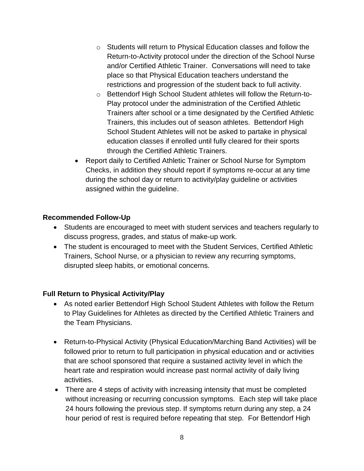- o Students will return to Physical Education classes and follow the Return-to-Activity protocol under the direction of the School Nurse and/or Certified Athletic Trainer. Conversations will need to take place so that Physical Education teachers understand the restrictions and progression of the student back to full activity.
- o Bettendorf High School Student athletes will follow the Return-to-Play protocol under the administration of the Certified Athletic Trainers after school or a time designated by the Certified Athletic Trainers, this includes out of season athletes. Bettendorf High School Student Athletes will not be asked to partake in physical education classes if enrolled until fully cleared for their sports through the Certified Athletic Trainers.
- Report daily to Certified Athletic Trainer or School Nurse for Symptom Checks, in addition they should report if symptoms re-occur at any time during the school day or return to activity/play guideline or activities assigned within the guideline.

# **Recommended Follow-Up**

- Students are encouraged to meet with student services and teachers regularly to discuss progress, grades, and status of make-up work.
- The student is encouraged to meet with the Student Services, Certified Athletic Trainers, School Nurse, or a physician to review any recurring symptoms, disrupted sleep habits, or emotional concerns.

# **Full Return to Physical Activity/Play**

- As noted earlier Bettendorf High School Student Athletes with follow the Return to Play Guidelines for Athletes as directed by the Certified Athletic Trainers and the Team Physicians.
- Return-to-Physical Activity (Physical Education/Marching Band Activities) will be followed prior to return to full participation in physical education and or activities that are school sponsored that require a sustained activity level in which the heart rate and respiration would increase past normal activity of daily living activities.
- There are 4 steps of activity with increasing intensity that must be completed without increasing or recurring concussion symptoms. Each step will take place 24 hours following the previous step. If symptoms return during any step, a 24 hour period of rest is required before repeating that step. For Bettendorf High